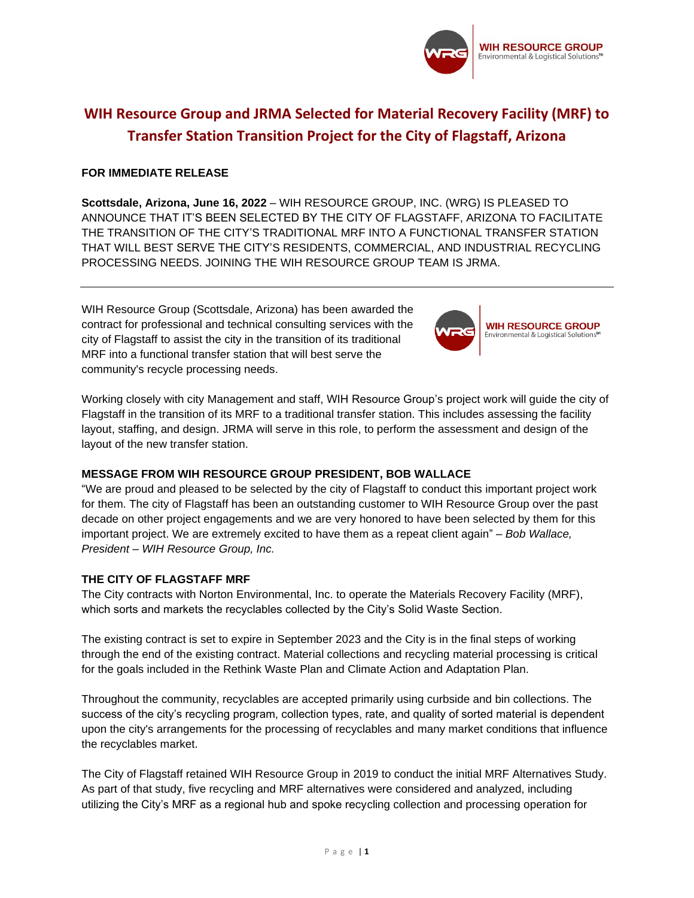

# **WIH Resource Group and JRMA Selected for Material Recovery Facility (MRF) to Transfer Station Transition Project for the City of Flagstaff, Arizona**

#### **FOR IMMEDIATE RELEASE**

**Scottsdale, Arizona, June 16, 2022** – WIH RESOURCE GROUP, INC. (WRG) IS PLEASED TO ANNOUNCE THAT IT'S BEEN SELECTED BY THE CITY OF FLAGSTAFF, ARIZONA TO FACILITATE THE TRANSITION OF THE CITY'S TRADITIONAL MRF INTO A FUNCTIONAL TRANSFER STATION THAT WILL BEST SERVE THE CITY'S RESIDENTS, COMMERCIAL, AND INDUSTRIAL RECYCLING PROCESSING NEEDS. JOINING THE WIH RESOURCE GROUP TEAM IS JRMA.

WIH Resource Group (Scottsdale, Arizona) has been awarded the contract for professional and technical consulting services with the city of Flagstaff to assist the city in the transition of its traditional MRF into a functional transfer station that will best serve the community's recycle processing needs.



Working closely with city Management and staff, WIH Resource Group's project work will guide the city of Flagstaff in the transition of its MRF to a traditional transfer station. This includes assessing the facility layout, staffing, and design. JRMA will serve in this role, to perform the assessment and design of the layout of the new transfer station.

## **MESSAGE FROM WIH RESOURCE GROUP PRESIDENT, BOB WALLACE**

"We are proud and pleased to be selected by the city of Flagstaff to conduct this important project work for them. The city of Flagstaff has been an outstanding customer to WIH Resource Group over the past decade on other project engagements and we are very honored to have been selected by them for this important project. We are extremely excited to have them as a repeat client again" – *Bob Wallace, President – WIH Resource Group, Inc.*

## **THE CITY OF FLAGSTAFF MRF**

The City contracts with Norton Environmental, Inc. to operate the Materials Recovery Facility (MRF), which sorts and markets the recyclables collected by the City's Solid Waste Section.

The existing contract is set to expire in September 2023 and the City is in the final steps of working through the end of the existing contract. Material collections and recycling material processing is critical for the goals included in the Rethink Waste Plan and Climate Action and Adaptation Plan.

Throughout the community, recyclables are accepted primarily using curbside and bin collections. The success of the city's recycling program, collection types, rate, and quality of sorted material is dependent upon the city's arrangements for the processing of recyclables and many market conditions that influence the recyclables market.

The City of Flagstaff retained WIH Resource Group in 2019 to conduct the initial MRF Alternatives Study. As part of that study, five recycling and MRF alternatives were considered and analyzed, including utilizing the City's MRF as a regional hub and spoke recycling collection and processing operation for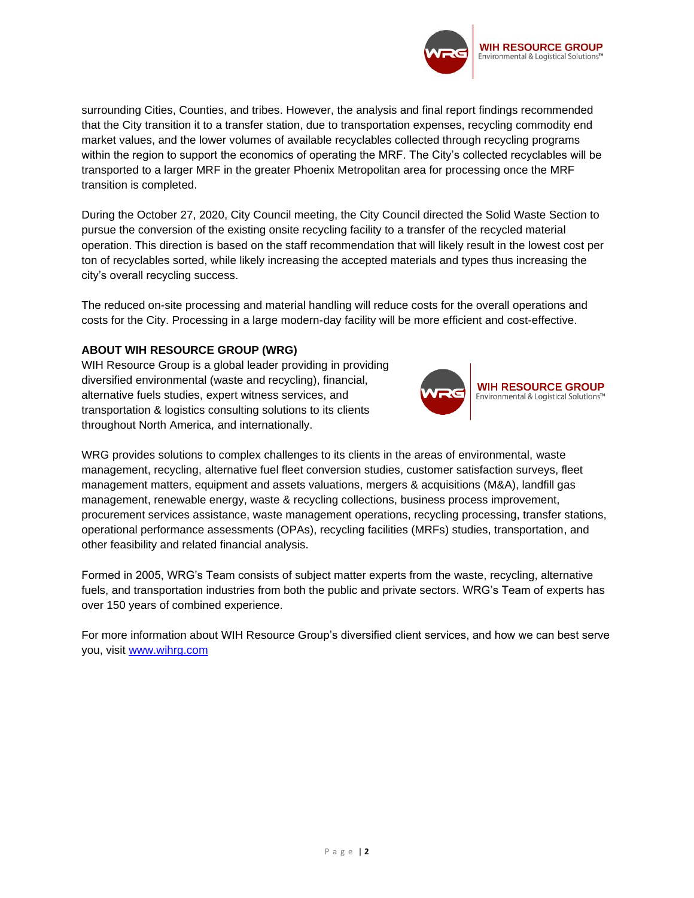

surrounding Cities, Counties, and tribes. However, the analysis and final report findings recommended that the City transition it to a transfer station, due to transportation expenses, recycling commodity end market values, and the lower volumes of available recyclables collected through recycling programs within the region to support the economics of operating the MRF. The City's collected recyclables will be transported to a larger MRF in the greater Phoenix Metropolitan area for processing once the MRF transition is completed.

During the October 27, 2020, City Council meeting, the City Council directed the Solid Waste Section to pursue the conversion of the existing onsite recycling facility to a transfer of the recycled material operation. This direction is based on the staff recommendation that will likely result in the lowest cost per ton of recyclables sorted, while likely increasing the accepted materials and types thus increasing the city's overall recycling success.

The reduced on-site processing and material handling will reduce costs for the overall operations and costs for the City. Processing in a large modern-day facility will be more efficient and cost-effective.

#### **ABOUT WIH RESOURCE GROUP (WRG)**

WIH Resource Group is a global leader providing in providing diversified environmental (waste and recycling), financial, alternative fuels studies, expert witness services, and transportation & logistics consulting solutions to its clients throughout North America, and internationally.



WRG provides solutions to complex challenges to its clients in the areas of environmental, waste management, recycling, alternative fuel fleet conversion studies, customer satisfaction surveys, fleet management matters, equipment and assets valuations, mergers & acquisitions (M&A), landfill gas management, renewable energy, waste & recycling collections, business process improvement, procurement services assistance, waste management operations, recycling processing, transfer stations, operational performance assessments (OPAs), recycling facilities (MRFs) studies, transportation, and other feasibility and related financial analysis.

Formed in 2005, WRG's Team consists of subject matter experts from the waste, recycling, alternative fuels, and transportation industries from both the public and private sectors. WRG's Team of experts has over 150 years of combined experience.

For more information about WIH Resource Group's diversified client services, and how we can best serve you, visit [www.wihrg.com](http://www.wihrg.com/)